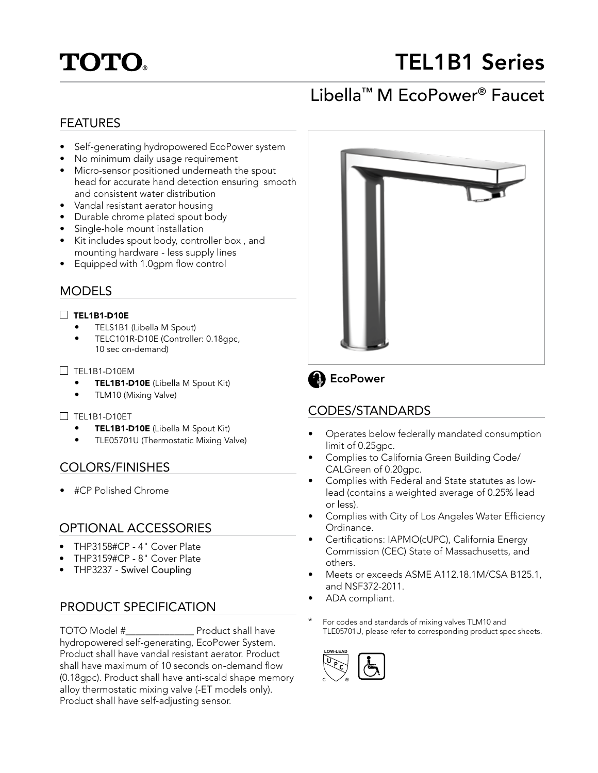# **TOTO.**

# TEL1B1 Series

## Libella™ M EcoPower® Faucet

## FEATURES

- Self-generating hydropowered EcoPower system
- No minimum daily usage requirement
- Micro-sensor positioned underneath the spout head for accurate hand detection ensuring smooth and consistent water distribution
- Vandal resistant aerator housing
- Durable chrome plated spout body
- Single-hole mount installation
- Kit includes spout body, controller box , and mounting hardware - less supply lines
- Equipped with 1.0gpm flow control

## MODELS

#### $\Box$  TEL1B1-D10E

- TELS1B1 (Libella M Spout)
- TELC101R-D10E (Controller: 0.18gpc, 10 sec on-demand)

#### $\Box$  TEL1B1-D10EM

- **TEL1B1-D10E** (Libella M Spout Kit)
	- TLM10 (Mixing Valve)

#### TEL1B1-D10ET

- TEL1B1-D10E (Libella M Spout Kit)
- TLE05701U (Thermostatic Mixing Valve)

### COLORS/FINISHES

• #CP Polished Chrome

### OPTIONAL ACCESSORIES

- THP3158#CP 4" Cover Plate
- THP3159#CP 8" Cover Plate
- THP3237 Swivel Coupling

## PRODUCT SPECIFICATION

TOTO Model #\_\_\_\_\_\_\_\_\_\_\_\_\_\_ Product shall have hydropowered self-generating, EcoPower System. Product shall have vandal resistant aerator. Product shall have maximum of 10 seconds on-demand flow (0.18gpc). Product shall have anti-scald shape memory alloy thermostatic mixing valve (-ET models only). Product shall have self-adjusting sensor.





## CODES/STANDARDS

- Operates below federally mandated consumption limit of 0.25gpc.
- Complies to California Green Building Code/ CALGreen of 0.20gpc.
- Complies with Federal and State statutes as lowlead (contains a weighted average of 0.25% lead or less).
- Complies with City of Los Angeles Water Efficiency Ordinance.
- Certifications: IAPMO(cUPC), California Energy Commission (CEC) State of Massachusetts, and others.
- Meets or exceeds ASME A112.18.1M/CSA B125.1, and NSF372-2011.
- ADA compliant.
- For codes and standards of mixing valves TLM10 and TLE05701U, please refer to corresponding product spec sheets.